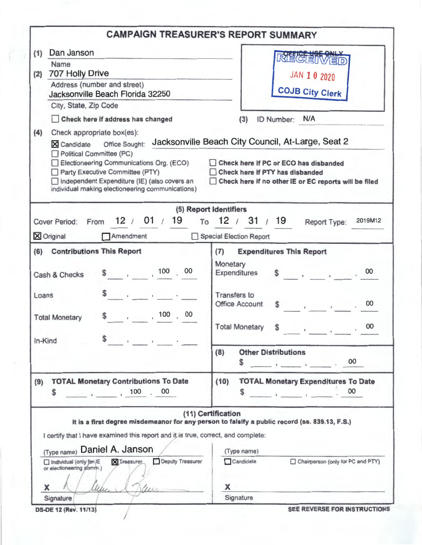| RÉCEIVED<br>JAN 10 2020<br><b>COJB City Clerk</b><br>ID Number: N/A<br>(3)<br>X Candidate Office Sought: Jacksonville Beach City Council, At-Large, Seat 2<br>Check here if PC or ECO has disbanded<br>Check here if PTY has disbanded<br>Check here if no other IE or EC reports will be filed<br>(5) Report Identifiers<br>Cover Period: From 12 / 01 / 19 To 12 / 31 / 19<br>2019M12<br>Report Type:<br>Special Election Report<br><b>Expenditures This Report</b>             |
|-----------------------------------------------------------------------------------------------------------------------------------------------------------------------------------------------------------------------------------------------------------------------------------------------------------------------------------------------------------------------------------------------------------------------------------------------------------------------------------|
|                                                                                                                                                                                                                                                                                                                                                                                                                                                                                   |
|                                                                                                                                                                                                                                                                                                                                                                                                                                                                                   |
|                                                                                                                                                                                                                                                                                                                                                                                                                                                                                   |
| Monetary<br>$\begin{array}{ccc} \text{S} & \text{I} & \text{I} & \text{I} & \text{I} & \text{I} \end{array}$<br>Expenditures<br><b>Transfers</b> to<br><b>Office Account</b><br>00<br><b>Contract Contract Contract Contract</b>                                                                                                                                                                                                                                                  |
| 00<br><b>Total Monetary</b><br>S<br>$\,$                                                                                                                                                                                                                                                                                                                                                                                                                                          |
| <b>Other Distributions</b><br>$\frac{1}{\sqrt{1-\frac{1}{2}}}\cdot\frac{1}{\sqrt{1-\frac{1}{2}}}\cdot\frac{1}{\sqrt{1-\frac{1}{2}}}\cdot\frac{1}{\sqrt{1-\frac{1}{2}}}\cdot\frac{1}{\sqrt{1-\frac{1}{2}}}\cdot\frac{1}{\sqrt{1-\frac{1}{2}}}\cdot\frac{1}{\sqrt{1-\frac{1}{2}}}\cdot\frac{1}{\sqrt{1-\frac{1}{2}}}\cdot\frac{1}{\sqrt{1-\frac{1}{2}}}\cdot\frac{1}{\sqrt{1-\frac{1}{2}}}\cdot\frac{1}{\sqrt{1-\frac{1}{2}}}\cdot\frac{1}{\sqrt{1-\frac{1}{2}}}\cdot\frac{1$<br>\$ |
| <b>TOTAL Monetary Expenditures To Date</b><br>00<br>$\frac{1}{2}$ and $\frac{1}{2}$ and $\frac{1}{2}$ and $\frac{1}{2}$ and $\frac{1}{2}$ and $\frac{1}{2}$<br>S                                                                                                                                                                                                                                                                                                                  |
| (11) Certification<br>It is a first degree misdemeanor for any person to falsify a public record (ss. 839.13, F.S.)<br>I certify that I have examined this report and it is true, correct, and complete:<br>(Type name)<br>Candidate<br>Chairperson (only for PC and PTY)                                                                                                                                                                                                         |
|                                                                                                                                                                                                                                                                                                                                                                                                                                                                                   |

Ò